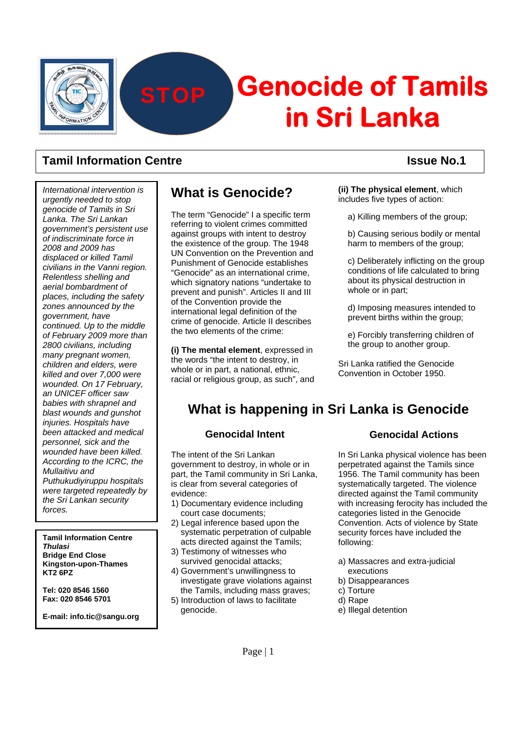

# **Genocide of Tamils in Sri Lanka STOP**

### **Tamil Information Centre Issue No.1 ISSUE No.1**

*International intervention is urgently needed to stop genocide of Tamils in Sri Lanka. The Sri Lankan government's persistent use of indiscriminate force in 2008 and 2009 has displaced or killed Tamil civilians in the Vanni region. Relentless shelling and aerial bombardment of places, including the safety zones announced by the government, have continued. Up to the middle of February 2009 more than 2800 civilians, including many pregnant women, children and elders, were killed and over 7,000 were wounded. On 17 February, an UNICEF officer saw babies with shrapnel and blast wounds and gunshot injuries. Hospitals have been attacked and medical personnel, sick and the wounded have been killed. According to the ICRC, the Mullaitivu and Puthukudiyiruppu hospitals were targeted repeatedly by the Sri Lankan security forces.* 

**Tamil Information Centre**  *Thulasi*  **Bridge End Close Kingston-upon-Thames KT2 6PZ** 

**Tel: 020 8546 1560 Fax: 020 8546 5701** 

**E-mail: info.tic@sangu.org** 

## **What is Genocide?**

The term "Genocide" I a specific term referring to violent crimes committed against groups with intent to destroy the existence of the group. The 1948 UN Convention on the Prevention and Punishment of Genocide establishes "Genocide" as an international crime, which signatory nations "undertake to prevent and punish". Articles II and III of the Convention provide the international legal definition of the crime of genocide. Article II describes the two elements of the crime:

**(i) The mental element**, expressed in the words "the intent to destroy, in whole or in part, a national, ethnic, racial or religious group, as such", and **(ii) The physical element**, which includes five types of action:

a) Killing members of the group;

b) Causing serious bodily or mental harm to members of the group:

c) Deliberately inflicting on the group conditions of life calculated to bring about its physical destruction in whole or in part;

d) Imposing measures intended to prevent births within the group;

e) Forcibly transferring children of the group to another group.

Sri Lanka ratified the Genocide Convention in October 1950.

## **What is happening in Sri Lanka is Genocide**

#### **Genocidal Intent**

The intent of the Sri Lankan government to destroy, in whole or in part, the Tamil community in Sri Lanka, is clear from several categories of evidence:

- 1) Documentary evidence including court case documents;
- 2) Legal inference based upon the systematic perpetration of culpable acts directed against the Tamils;
- 3) Testimony of witnesses who survived genocidal attacks;
- 4) Government's unwillingness to investigate grave violations against the Tamils, including mass graves;
- 5) Introduction of laws to facilitate genocide.

### **Genocidal Actions**

In Sri Lanka physical violence has been perpetrated against the Tamils since 1956. The Tamil community has been systematically targeted. The violence directed against the Tamil community with increasing ferocity has included the categories listed in the Genocide Convention. Acts of violence by State security forces have included the following:

- a) Massacres and extra-judicial executions
- b) Disappearances
- c) Torture
- d) Rape
- e) Illegal detention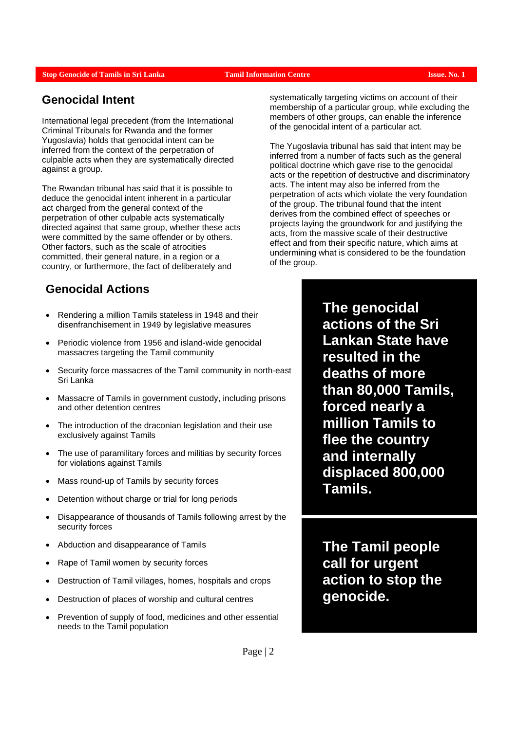#### **Stop Genocide of Tamils in Sri Lanka Tamil Information Centre Issue. In the Issue. No. 1**

### **Genocidal Intent**

International legal precedent (from the International Criminal Tribunals for Rwanda and the former Yugoslavia) holds that genocidal intent can be inferred from the context of the perpetration of culpable acts when they are systematically directed against a group.

The Rwandan tribunal has said that it is possible to deduce the genocidal intent inherent in a particular act charged from the general context of the perpetration of other culpable acts systematically directed against that same group, whether these acts were committed by the same offender or by others. Other factors, such as the scale of atrocities committed, their general nature, in a region or a country, or furthermore, the fact of deliberately and

### **Genocidal Actions**

- Rendering a million Tamils stateless in 1948 and their disenfranchisement in 1949 by legislative measures
- Periodic violence from 1956 and island-wide genocidal massacres targeting the Tamil community
- Security force massacres of the Tamil community in north-east Sri Lanka
- Massacre of Tamils in government custody, including prisons and other detention centres
- The introduction of the draconian legislation and their use exclusively against Tamils
- The use of paramilitary forces and militias by security forces for violations against Tamils
- Mass round-up of Tamils by security forces
- Detention without charge or trial for long periods
- Disappearance of thousands of Tamils following arrest by the security forces
- Abduction and disappearance of Tamils
- Rape of Tamil women by security forces
- Destruction of Tamil villages, homes, hospitals and crops
- Destruction of places of worship and cultural centres
- Prevention of supply of food, medicines and other essential needs to the Tamil population

systematically targeting victims on account of their membership of a particular group, while excluding the members of other groups, can enable the inference of the genocidal intent of a particular act.

The Yugoslavia tribunal has said that intent may be inferred from a number of facts such as the general political doctrine which gave rise to the genocidal acts or the repetition of destructive and discriminatory acts. The intent may also be inferred from the perpetration of acts which violate the very foundation of the group. The tribunal found that the intent derives from the combined effect of speeches or projects laying the groundwork for and justifying the acts, from the massive scale of their destructive effect and from their specific nature, which aims at undermining what is considered to be the foundation of the group.

> **The genocidal actions of the Sri Lankan State have resulted in the deaths of more than 80,000 Tamils, forced nearly a million Tamils to flee the country and internally displaced 800,000 Tamils.**

**The Tamil people call for urgent action to stop the genocide.**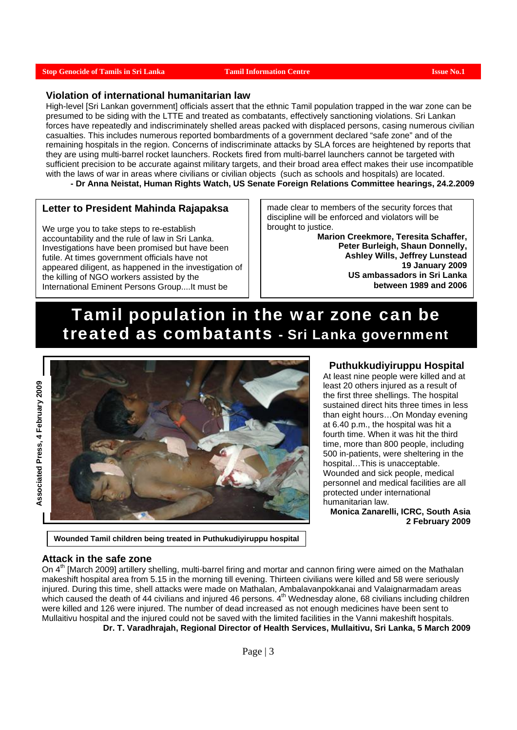#### **Stop Genocide of Tamils in Sri Lanka Tamil Information Centre Issue No.1 <b>Issue No.1**

#### **Violation of international humanitarian law**

High-level [Sri Lankan government] officials assert that the ethnic Tamil population trapped in the war zone can be presumed to be siding with the LTTE and treated as combatants, effectively sanctioning violations. Sri Lankan forces have repeatedly and indiscriminately shelled areas packed with displaced persons, casing numerous civilian casualties. This includes numerous reported bombardments of a government declared "safe zone" and of the remaining hospitals in the region. Concerns of indiscriminate attacks by SLA forces are heightened by reports that they are using multi-barrel rocket launchers. Rockets fired from multi-barrel launchers cannot be targeted with sufficient precision to be accurate against military targets, and their broad area effect makes their use incompatible with the laws of war in areas where civilians or civilian objects (such as schools and hospitals) are located. **- Dr Anna Neistat, Human Rights Watch, US Senate Foreign Relations Committee hearings, 24.2.2009** 

#### **Letter to President Mahinda Rajapaksa**

We urge you to take steps to re-establish accountability and the rule of law in Sri Lanka. Investigations have been promised but have been futile. At times government officials have not appeared diligent, as happened in the investigation of the killing of NGO workers assisted by the International Eminent Persons Group....It must be

made clear to members of the security forces that discipline will be enforced and violators will be brought to justice.

> **Marion Creekmore, Teresita Schaffer, Peter Burleigh, Shaun Donnelly, Ashley Wills, Jeffrey Lunstead 19 January 2009 US ambassadors in Sri Lanka between 1989 and 2006**

# Tamil population in the war zone can be treated as combatants - Sri Lanka government



#### **Puthukkudiyiruppu Hospital**

At least nine people were killed and at least 20 others injured as a result of the first three shellings. The hospital sustained direct hits three times in less than eight hours…On Monday evening at 6.40 p.m., the hospital was hit a fourth time. When it was hit the third time, more than 800 people, including 500 in-patients, were sheltering in the hospital…This is unacceptable. Wounded and sick people, medical personnel and medical facilities are all protected under international humanitarian law.

**Monica Zanarelli, ICRC, South Asia 2 February 2009** 

#### **Wounded Tamil children being treated in Puthukudiyiruppu hospital**

#### **Attack in the safe zone**

On 4<sup>th</sup> [March 2009] artillery shelling, multi-barrel firing and mortar and cannon firing were aimed on the Mathalan makeshift hospital area from 5.15 in the morning till evening. Thirteen civilians were killed and 58 were seriously injured. During this time, shell attacks were made on Mathalan, Ambalavanpokkanai and Valaignarmadam areas which caused the death of 44 civilians and injured 46 persons. 4<sup>th</sup> Wednesday alone, 68 civilians including children were killed and 126 were injured. The number of dead increased as not enough medicines have been sent to Mullaitivu hospital and the injured could not be saved with the limited facilities in the Vanni makeshift hospitals. **Dr. T. Varadhrajah, Regional Director of Health Services, Mullaitivu, Sri Lanka, 5 March 2009**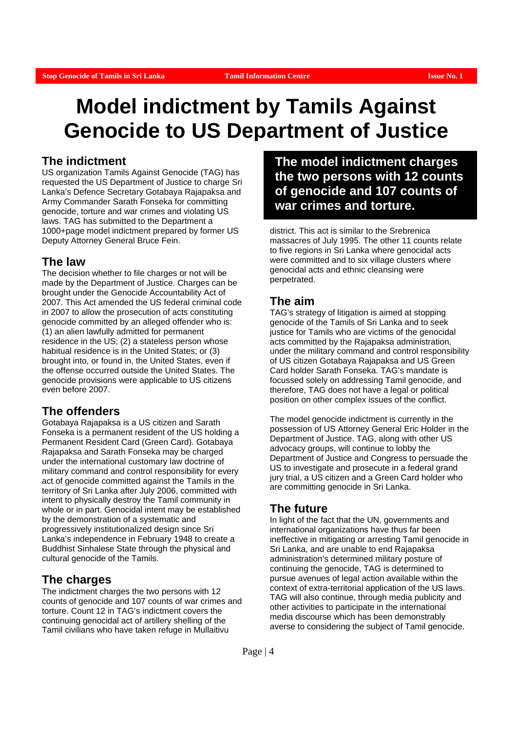# **Model indictment by Tamils Against Genocide to US Department of Justice**

#### **The indictment**

US organization Tamils Against Genocide (TAG) has requested the US Department of Justice to charge Sri Lanka's Defence Secretary Gotabaya Rajapaksa and Army Commander Sarath Fonseka for committing genocide, torture and war crimes and violating US laws. TAG has submitted to the Department a 1000+page model indictment prepared by former US Deputy Attorney General Bruce Fein.

#### **The law**

The decision whether to file charges or not will be made by the Department of Justice. Charges can be brought under the Genocide Accountability Act of 2007. This Act amended the US federal criminal code in 2007 to allow the prosecution of acts constituting genocide committed by an alleged offender who is: (1) an alien lawfully admitted for permanent residence in the US; (2) a stateless person whose habitual residence is in the United States; or (3) brought into, or found in, the United States, even if the offense occurred outside the United States. The genocide provisions were applicable to US citizens even before 2007.

### **The offenders**

Gotabaya Rajapaksa is a US citizen and Sarath Fonseka is a permanent resident of the US holding a Permanent Resident Card (Green Card). Gotabaya Rajapaksa and Sarath Fonseka may be charged under the international customary law doctrine of military command and control responsibility for every act of genocide committed against the Tamils in the territory of Sri Lanka after July 2006, committed with intent to physically destroy the Tamil community in whole or in part. Genocidal intent may be established by the demonstration of a systematic and progressively institutionalized design since Sri Lanka's independence in February 1948 to create a Buddhist Sinhalese State through the physical and cultural genocide of the Tamils.

### **The charges**

The indictment charges the two persons with 12 counts of genocide and 107 counts of war crimes and torture. Count 12 in TAG's indictment covers the continuing genocidal act of artillery shelling of the Tamil civilians who have taken refuge in Mullaitivu

**The model indictment charges the two persons with 12 counts of genocide and 107 counts of war crimes and torture.**

district. This act is similar to the Srebrenica massacres of July 1995. The other 11 counts relate to five regions in Sri Lanka where genocidal acts were committed and to six village clusters where genocidal acts and ethnic cleansing were perpetrated.

#### **The aim**

TAG's strategy of litigation is aimed at stopping genocide of the Tamils of Sri Lanka and to seek justice for Tamils who are victims of the genocidal acts committed by the Rajapaksa administration, under the military command and control responsibility of US citizen Gotabaya Rajapaksa and US Green Card holder Sarath Fonseka. TAG's mandate is focussed solely on addressing Tamil genocide, and therefore, TAG does not have a legal or political position on other complex issues of the conflict.

The model genocide indictment is currently in the possession of US Attorney General Eric Holder in the Department of Justice. TAG, along with other US advocacy groups, will continue to lobby the Department of Justice and Congress to persuade the US to investigate and prosecute in a federal grand jury trial, a US citizen and a Green Card holder who are committing genocide in Sri Lanka.

### **The future**

In light of the fact that the UN, governments and international organizations have thus far been ineffective in mitigating or arresting Tamil genocide in Sri Lanka, and are unable to end Rajapaksa administration's determined military posture of continuing the genocide, TAG is determined to pursue avenues of legal action available within the context of extra-territorial application of the US laws. TAG will also continue, through media publicity and other activities to participate in the international media discourse which has been demonstrably averse to considering the subject of Tamil genocide.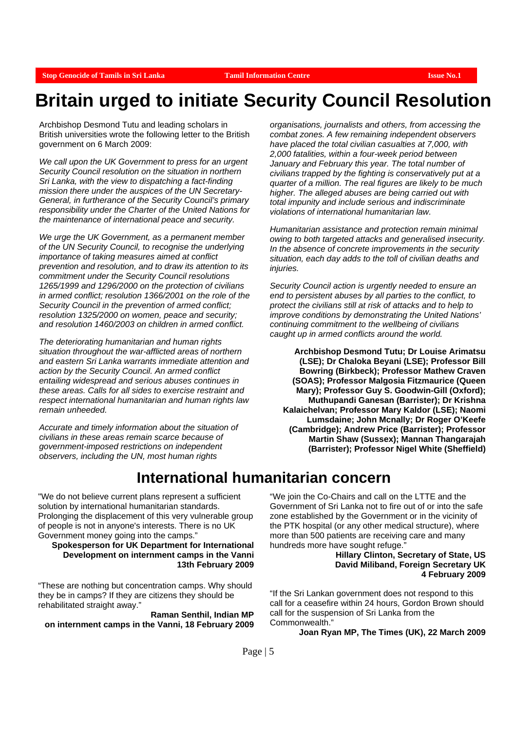# **Britain urged to initiate Security Council Resolution**

Archbishop Desmond Tutu and leading scholars in British universities wrote the following letter to the British government on 6 March 2009:

*We call upon the UK Government to press for an urgent Security Council resolution on the situation in northern Sri Lanka, with the view to dispatching a fact-finding mission there under the auspices of the UN Secretary-General, in furtherance of the Security Council's primary responsibility under the Charter of the United Nations for the maintenance of international peace and security.* 

*We urge the UK Government, as a permanent member of the UN Security Council, to recognise the underlying importance of taking measures aimed at conflict prevention and resolution, and to draw its attention to its commitment under the Security Council resolutions 1265/1999 and 1296/2000 on the protection of civilians in armed conflict; resolution 1366/2001 on the role of the Security Council in the prevention of armed conflict; resolution 1325/2000 on women, peace and security; and resolution 1460/2003 on children in armed conflict.* 

*The deteriorating humanitarian and human rights situation throughout the war-afflicted areas of northern and eastern Sri Lanka warrants immediate attention and action by the Security Council. An armed conflict entailing widespread and serious abuses continues in these areas. Calls for all sides to exercise restraint and respect international humanitarian and human rights law remain unheeded.* 

*Accurate and timely information about the situation of civilians in these areas remain scarce because of government-imposed restrictions on independent observers, including the UN, most human rights* 

*organisations, journalists and others, from accessing the combat zones. A few remaining independent observers have placed the total civilian casualties at 7,000, with 2,000 fatalities, within a four-week period between January and February this year. The total number of civilians trapped by the fighting is conservatively put at a quarter of a million. The real figures are likely to be much higher. The alleged abuses are being carried out with total impunity and include serious and indiscriminate violations of international humanitarian law.* 

*Humanitarian assistance and protection remain minimal owing to both targeted attacks and generalised insecurity. In the absence of concrete improvements in the security situation, each day adds to the toll of civilian deaths and injuries.* 

*Security Council action is urgently needed to ensure an end to persistent abuses by all parties to the conflict, to protect the civilians still at risk of attacks and to help to improve conditions by demonstrating the United Nations' continuing commitment to the wellbeing of civilians caught up in armed conflicts around the world.* 

**Archbishop Desmond Tutu; Dr Louise Arimatsu (LSE); Dr Chaloka Beyani (LSE); Professor Bill Bowring (Birkbeck); Professor Mathew Craven (SOAS); Professor Malgosia Fitzmaurice (Queen Mary); Professor Guy S. Goodwin-Gill (Oxford); Muthupandi Ganesan (Barrister); Dr Krishna Kalaichelvan; Professor Mary Kaldor (LSE); Naomi Lumsdaine; John Mcnally; Dr Roger O'Keefe (Cambridge); Andrew Price (Barrister); Professor Martin Shaw (Sussex); Mannan Thangarajah (Barrister); Professor Nigel White (Sheffield)** 

## **International humanitarian concern**

"We do not believe current plans represent a sufficient solution by international humanitarian standards. Prolonging the displacement of this very vulnerable group of people is not in anyone's interests. There is no UK Government money going into the camps."

**Spokesperson for UK Department for International Development on internment camps in the Vanni 13th February 2009** 

"These are nothing but concentration camps. Why should they be in camps? If they are citizens they should be rehabilitated straight away."

**Raman Senthil, Indian MP on internment camps in the Vanni, 18 February 2009** 

"We join the Co-Chairs and call on the LTTE and the Government of Sri Lanka not to fire out of or into the safe zone established by the Government or in the vicinity of the PTK hospital (or any other medical structure), where more than 500 patients are receiving care and many hundreds more have sought refuge.

#### **Hillary Clinton, Secretary of State, US David Miliband, Foreign Secretary UK 4 February 2009**

"If the Sri Lankan government does not respond to this call for a ceasefire within 24 hours, Gordon Brown should call for the suspension of Sri Lanka from the Commonwealth."

**Joan Ryan MP, The Times (UK), 22 March 2009**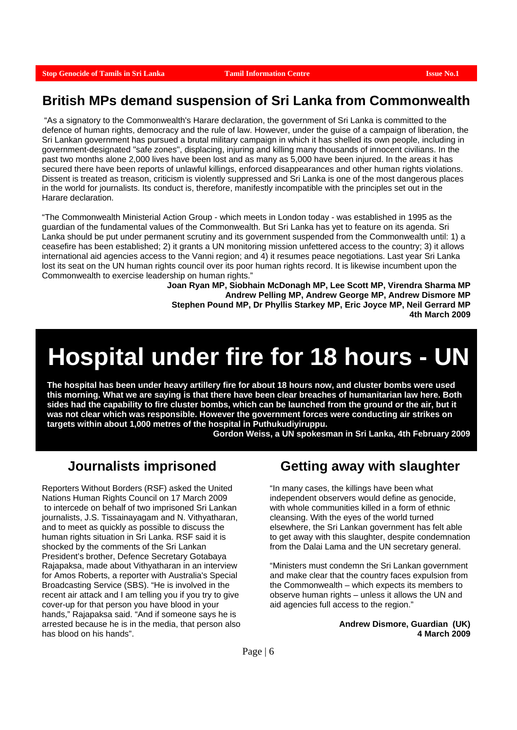# **British MPs demand suspension of Sri Lanka from Commonwealth**

 "As a signatory to the Commonwealth's Harare declaration, the government of Sri Lanka is committed to the defence of human rights, democracy and the rule of law. However, under the guise of a campaign of liberation, the Sri Lankan government has pursued a brutal military campaign in which it has shelled its own people, including in government-designated "safe zones", displacing, injuring and killing many thousands of innocent civilians. In the past two months alone 2,000 lives have been lost and as many as 5,000 have been injured. In the areas it has secured there have been reports of unlawful killings, enforced disappearances and other human rights violations. Dissent is treated as treason, criticism is violently suppressed and Sri Lanka is one of the most dangerous places in the world for journalists. Its conduct is, therefore, manifestly incompatible with the principles set out in the Harare declaration.

"The Commonwealth Ministerial Action Group - which meets in London today - was established in 1995 as the guardian of the fundamental values of the Commonwealth. But Sri Lanka has yet to feature on its agenda. Sri Lanka should be put under permanent scrutiny and its government suspended from the Commonwealth until: 1) a ceasefire has been established; 2) it grants a UN monitoring mission unfettered access to the country; 3) it allows international aid agencies access to the Vanni region; and 4) it resumes peace negotiations. Last year Sri Lanka lost its seat on the UN human rights council over its poor human rights record. It is likewise incumbent upon the Commonwealth to exercise leadership on human rights."

**Joan Ryan MP, Siobhain McDonagh MP, Lee Scott MP, Virendra Sharma MP Andrew Pelling MP, Andrew George MP, Andrew Dismore MP Stephen Pound MP, Dr Phyllis Starkey MP, Eric Joyce MP, Neil Gerrard MP 4th March 2009** 

# **Hospital under fire for 18 hours - UN**

**The hospital has been under heavy artillery fire for about 18 hours now, and cluster bombs were used this morning. What we are saying is that there have been clear breaches of humanitarian law here. Both sides had the capability to fire cluster bombs, which can be launched from the ground or the air, but it was not clear which was responsible. However the government forces were conducting air strikes on targets within about 1,000 metres of the hospital in Puthukudiyiruppu.** 

**Gordon Weiss, a UN spokesman in Sri Lanka, 4th February 2009** 

# **Journalists imprisoned**

Reporters Without Borders (RSF) asked the United Nations Human Rights Council on 17 March 2009 to intercede on behalf of two imprisoned Sri Lankan journalists, J.S. Tissainayagam and N. Vithyatharan, and to meet as quickly as possible to discuss the human rights situation in Sri Lanka. RSF said it is shocked by the comments of the Sri Lankan President's brother, Defence Secretary Gotabaya Rajapaksa, made about Vithyatharan in an interview for Amos Roberts, a reporter with Australia's Special Broadcasting Service (SBS). "He is involved in the recent air attack and I am telling you if you try to give cover-up for that person you have blood in your hands," Rajapaksa said. "And if someone says he is arrested because he is in the media, that person also has blood on his hands".

# **Getting away with slaughter**

"In many cases, the killings have been what independent observers would define as genocide, with whole communities killed in a form of ethnic cleansing. With the eyes of the world turned elsewhere, the Sri Lankan government has felt able to get away with this slaughter, despite condemnation from the Dalai Lama and the UN secretary general.

"Ministers must condemn the Sri Lankan government and make clear that the country faces expulsion from the Commonwealth – which expects its members to observe human rights – unless it allows the UN and aid agencies full access to the region."

> **Andrew Dismore, Guardian (UK) 4 March 2009**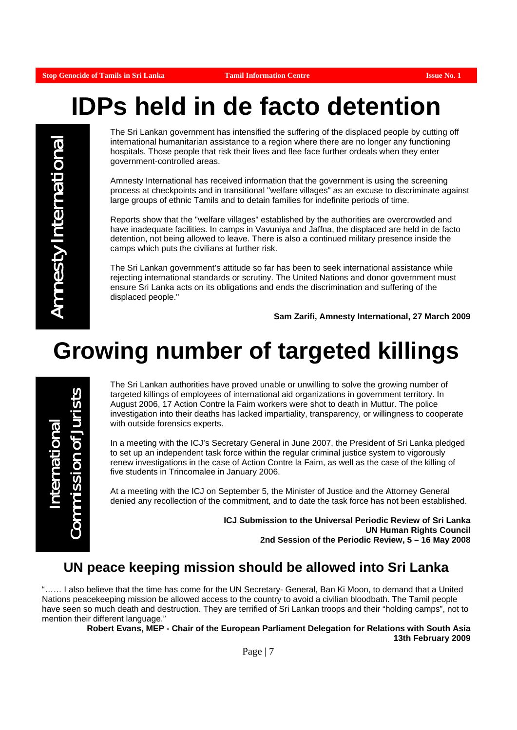# **IDPs held in de facto detention**

Amnesty International **Amnesty International** 

The Sri Lankan government has intensified the suffering of the displaced people by cutting off international humanitarian assistance to a region where there are no longer any functioning hospitals. Those people that risk their lives and flee face further ordeals when they enter government-controlled areas.

Amnesty International has received information that the government is using the screening process at checkpoints and in transitional "welfare villages" as an excuse to discriminate against large groups of ethnic Tamils and to detain families for indefinite periods of time.

Reports show that the "welfare villages" established by the authorities are overcrowded and have inadequate facilities. In camps in Vavuniya and Jaffna, the displaced are held in de facto detention, not being allowed to leave. There is also a continued military presence inside the camps which puts the civilians at further risk.

The Sri Lankan government's attitude so far has been to seek international assistance while rejecting international standards or scrutiny. The United Nations and donor government must ensure Sri Lanka acts on its obligations and ends the discrimination and suffering of the displaced people."

**Sam Zarifi, Amnesty International, 27 March 2009** 

# **Growing number of targeted killings**

International<br>Commission of Jurists

The Sri Lankan authorities have proved unable or unwilling to solve the growing number of targeted killings of employees of international aid organizations in government territory. In August 2006, 17 Action Contre la Faim workers were shot to death in Muttur. The police investigation into their deaths has lacked impartiality, transparency, or willingness to cooperate with outside forensics experts.

In a meeting with the ICJ's Secretary General in June 2007, the President of Sri Lanka pledged to set up an independent task force within the regular criminal justice system to vigorously renew investigations in the case of Action Contre la Faim, as well as the case of the killing of five students in Trincomalee in January 2006.

At a meeting with the ICJ on September 5, the Minister of Justice and the Attorney General denied any recollection of the commitment, and to date the task force has not been established.

> **ICJ Submission to the Universal Periodic Review of Sri Lanka UN Human Rights Council 2nd Session of the Periodic Review, 5 – 16 May 2008**

## **UN peace keeping mission should be allowed into Sri Lanka**

"…… I also believe that the time has come for the UN Secretary- General, Ban Ki Moon, to demand that a United Nations peacekeeping mission be allowed access to the country to avoid a civilian bloodbath. The Tamil people have seen so much death and destruction. They are terrified of Sri Lankan troops and their "holding camps", not to mention their different language."

> **Robert Evans, MEP - Chair of the European Parliament Delegation for Relations with South Asia 13th February 2009**